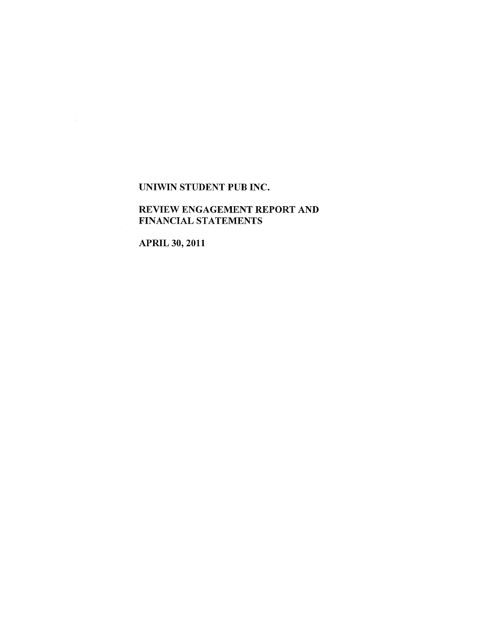# REVIEW ENGAGEMENT REPORT AND FINANCIAL STATEMENTS

APRIL 30, 2011

 $\label{eq:2.1} \frac{1}{\sqrt{2}}\int_{\mathbb{R}^3} \frac{1}{\sqrt{2}}\left(\frac{1}{\sqrt{2}}\right)^2\left(\frac{1}{\sqrt{2}}\right)^2\left(\frac{1}{\sqrt{2}}\right)^2\left(\frac{1}{\sqrt{2}}\right)^2\left(\frac{1}{\sqrt{2}}\right)^2.$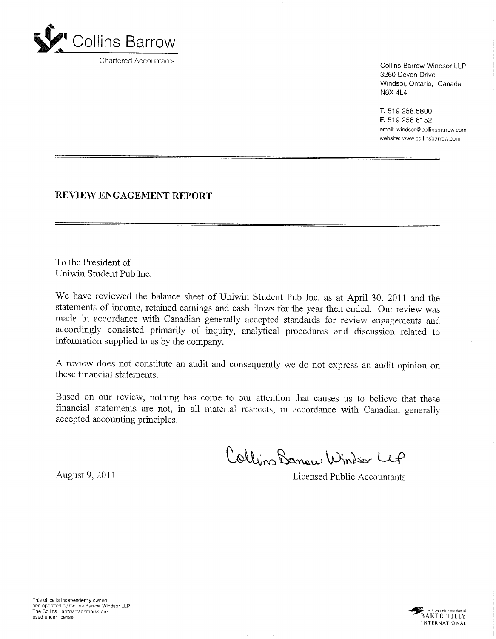

3260 Devon Drive Windsor, Ontario, Canada N8X 4L4

T. 519.258.5800 F. 519.256.6152 email: windsor@collinsbarrow com website: www.collinsbarrow.com

# **REVIEW ENGAGEMENT REPORT**

To the President of Uniwin Student Pub Inc.

We have reviewed the balance sheet of Uniwin Student Pub Inc. as at April 30, 2011 and the statements of income, retained earnings and cash flows for the year then ended. Our review was made in accordance with Canadian generally accepted standards for review engagements and accordingly consisted primarily of inquiry, analytical procedures and discussion related to information supplied to us by the company.

A review does not constitute an audit and consequently we do not express an audit opinion on these financial statements.

Based on our review, nothing has come to our attention that causes us to believe that these financial statements are not, in all material respects, in accordance with Canadian generally accepted accounting principles.

Collins Banque Windsor LLP

August 9, 2011 Licensed Public Accountants

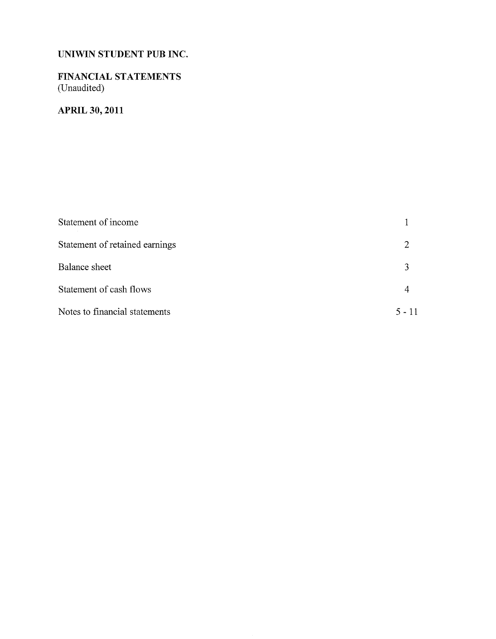# FINANCIAL STATEMENTS (Unaudited)

# APRIL 30, 2011

| Statement of income            |          |
|--------------------------------|----------|
| Statement of retained earnings | 2        |
| <b>Balance</b> sheet           | २        |
| Statement of cash flows        |          |
| Notes to financial statements  | $5 - 11$ |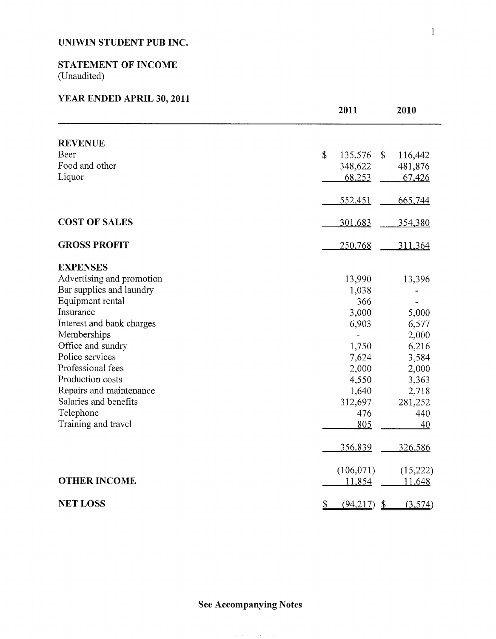# **STATEMENT OF INCOME (Unaudited)**

# **YEAR ENDED APRIL 30, 2011**

|                           | 2011                                           | 2010     |
|---------------------------|------------------------------------------------|----------|
| <b>REVENUE</b>            |                                                |          |
| Beer                      | \$<br>135,576<br>$\mathbb{S}$                  | 116,442  |
| Food and other            | 348,622                                        | 481,876  |
| Liquor                    | 68,253                                         | 67,426   |
|                           | 552,451                                        | 665,744  |
| <b>COST OF SALES</b>      | 301,683                                        | 354,380  |
| <b>GROSS PROFIT</b>       | 250,768                                        | 311,364  |
| <b>EXPENSES</b>           |                                                |          |
| Advertising and promotion | 13,990                                         | 13,396   |
| Bar supplies and laundry  | 1,038                                          |          |
| Equipment rental          | 366                                            |          |
| Insurance                 | 3,000                                          | 5,000    |
| Interest and bank charges | 6,903                                          | 6,577    |
| Memberships               | $\blacksquare$                                 | 2,000    |
| Office and sundry         | 1,750                                          | 6,216    |
| Police services           | 7,624                                          | 3,584    |
| Professional fees         | 2,000                                          | 2,000    |
| Production costs          | 4,550                                          | 3,363    |
| Repairs and maintenance   | 1,640                                          | 2,718    |
| Salaries and benefits     | 312,697                                        | 281,252  |
| Telephone                 | 476                                            | 440      |
| Training and travel       | 805                                            | 40       |
|                           | 356,839                                        | 326,586  |
|                           | (106, 071)                                     | (15,222) |
| <b>OTHER INCOME</b>       | 11,854                                         | 11,648   |
| <b>NET LOSS</b>           | $\frac{1}{2}$<br>(94,217)<br>$\mathbf{\Sigma}$ | (3,574)  |

 $\mathbf{1}$ 

**See Accompanying Notes**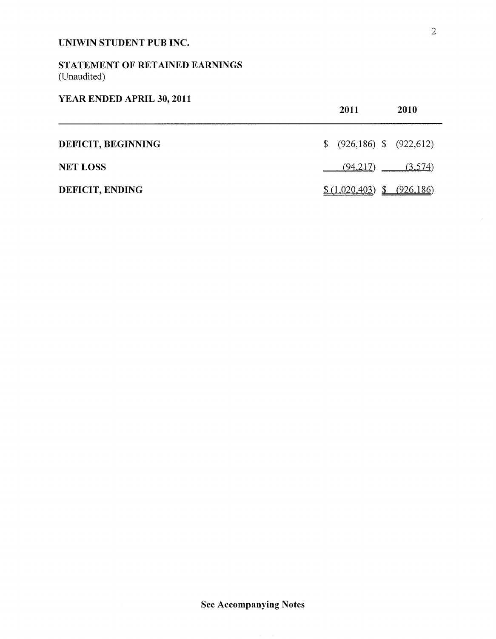# STATEMENT OF RETAINED EARNINGS (Unaudited)

# **YEAR** ENDED APRIL **30, 2011**

|                    | 2011                          | 2010    |
|--------------------|-------------------------------|---------|
| DEFICIT, BEGINNING | $$$ (926,186) \$ (922,612)    |         |
| <b>NET LOSS</b>    | (94,217)                      | (3,574) |
| DEFICIT, ENDING    | $$(1,020,403)$ \$ $(926,186)$ |         |

 $\lambda$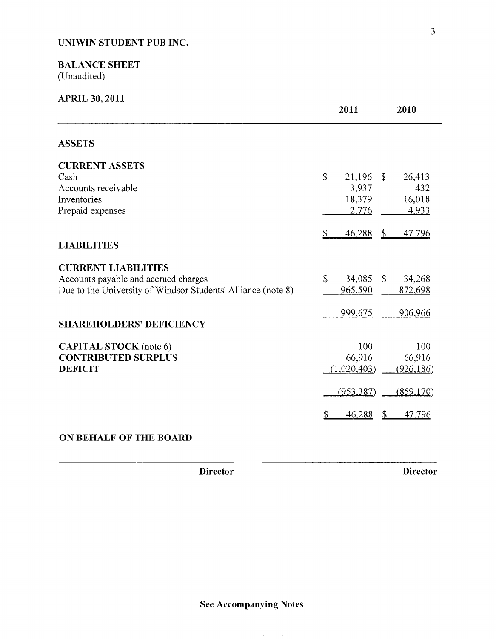# BALANCE **SHEET** (Unaudited)

| <b>APRIL 30, 2011</b>                                        | 2011         | 2010                  |
|--------------------------------------------------------------|--------------|-----------------------|
| <b>ASSETS</b>                                                |              |                       |
| <b>CURRENT ASSETS</b>                                        |              |                       |
| Cash                                                         | \$<br>21,196 | $\mathbf S$<br>26,413 |
| Accounts receivable                                          | 3,937        | 432                   |
| Inventories                                                  | 18,379       | 16,018                |
| Prepaid expenses                                             | 2,776        | 4,933                 |
|                                                              | 46,288<br>\$ | \$<br><u>47,796</u>   |
| <b>LIABILITIES</b>                                           |              |                       |
| <b>CURRENT LIABILITIES</b>                                   |              |                       |
| Accounts payable and accrued charges                         | \$<br>34,085 | $\mathbf S$<br>34,268 |
| Due to the University of Windsor Students' Alliance (note 8) | 965,590      | 872,698               |
|                                                              |              |                       |
| <b>SHAREHOLDERS' DEFICIENCY</b>                              | 999,675      | 906,966               |
| <b>CAPITAL STOCK</b> (note 6)                                | 100          | 100                   |
| <b>CONTRIBUTED SURPLUS</b>                                   | 66,916       | 66,916                |
| <b>DEFICIT</b>                                               | (1,020,403)  | (926, 186)            |
|                                                              | (953, 387)   | (859,170)             |
|                                                              | 46,288<br>S  | \$<br>47,796          |

# **ON BEHALF OF THE BOARD**

**Director Director**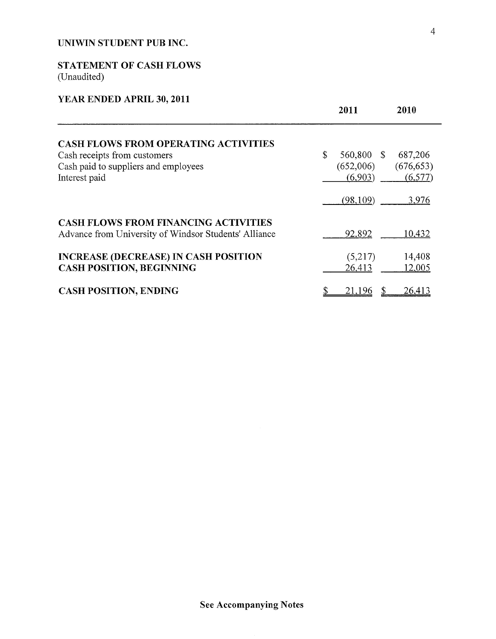# **STATEMENT OF CASH FLOWS** (Unaudited)

# **YEAR ENDED APRIL 30, 2011**

|                                                                                                      | 2011                        | 2010             |
|------------------------------------------------------------------------------------------------------|-----------------------------|------------------|
| <b>CASH FLOWS FROM OPERATING ACTIVITIES</b>                                                          |                             |                  |
| Cash receipts from customers                                                                         | $\mathcal{S}$<br>560,800 \$ | 687,206          |
| Cash paid to suppliers and employees                                                                 | (652,006)                   | (676, 653)       |
| Interest paid                                                                                        | (6,903)                     | (6, 577)         |
|                                                                                                      | (98, 109)                   | 3,976            |
| <b>CASH FLOWS FROM FINANCING ACTIVITIES</b><br>Advance from University of Windsor Students' Alliance | 92,892                      | 10,432           |
| <b>INCREASE (DECREASE) IN CASH POSITION</b><br><b>CASH POSITION, BEGINNING</b>                       | (5,217)<br>26,413           | 14,408<br>12,005 |
| <b>CASH POSITION, ENDING</b>                                                                         | 21,196                      | 26,413           |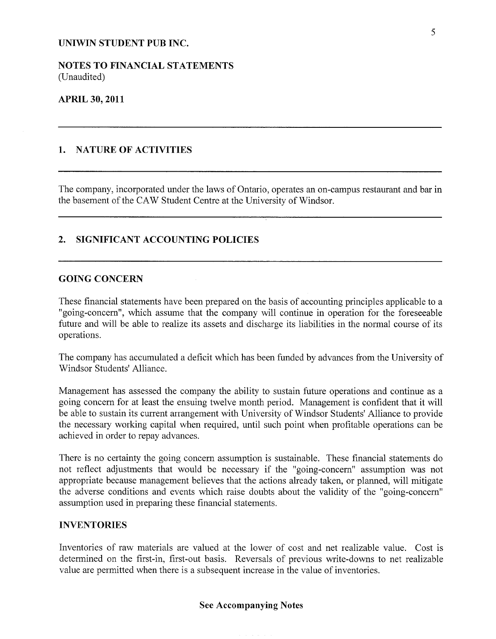NOTES TO FINANCIAL STATEMENTS (Unaudited)

#### APRIL **30, 2011**

### 1. NATURE OF ACTIVITIES

The company, incorporated under the laws of Ontario, operates an on-campus restaurant and bar in the basement of the CAW Student Centre at the University of Windsor.

### 2. SIGNIFICANT ACCOUNTING POLICIES

## GOING CONCERN

These financial statements have been prepared on the basis of accounting principles applicable to a "going-concern", which assume that the company will continue in operation for the foreseeable future and will be able to realize its assets and discharge its liabilities in the normal course of its operations.

The company has accumulated a deficit which has been funded by advances from the University of Windsor Students' Alliance.

Management has assessed the company the ability to sustain future operations and continue as a going concern for at least the ensuing twelve month period. Management is confident that it will be able to sustain its current arrangement with University of Windsor Students' Alliance to provide the necessary working capital when required, until such point when profitable operations can be achieved in order to repay advances.

There is no certainty the going concern assumption is sustainable. These financial statements do not reflect adjustments that would be necessary if the "going-concern" assumption was not appropriate because management believes that the actions already taken, or planned, will mitigate the adverse conditions and events which raise doubts about the validity of the "going-concern" assumption used in preparing these financial statements.

### INVENTORIES

Inventories of raw materials are valued at the lower of cost and net realizable value. Cost is determined on the first-in, first-out basis. Reversals of previous write-downs to net realizable value are permitted when there is a subsequent increase in the value of inventories.

### **See Accompanying Notes**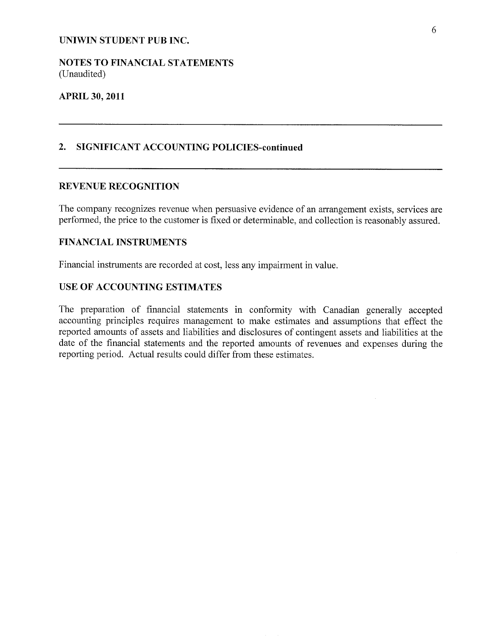NOTES TO FINANCIAL STATEMENTS (Unaudited)

#### **APRIL 30, 2011**

## 2. SIGNIFICANT ACCOUNTING **POLICIES-continued**

### REVENUE RECOGNITION

The company recognizes revenue when persuasive evidence of an arrangement exists, services are performed, the price to the customer is fixed or determinable, and collection is reasonably assured.

### FINANCIAL INSTRUMENTS

Financial instruments are recorded at cost, less any impairment in value.

## USE OF ACCOUNTING ESTIMATES

The preparation of financial statements in conformity with Canadian generally accepted accounting principles requires management to make estimates and assumptions that effect the reported amounts of assets and liabilities and disclosures of contingent assets and liabilities at the date of the financial statements and the reported amounts of revenues and expenses during the reporting period. Actual results could differ from these estimates.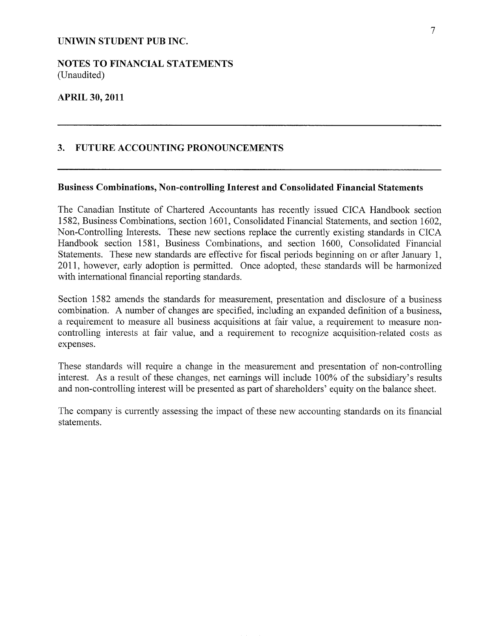NOTES TO FINANCIAL STATEMENTS (Unaudited)

### **APRIL 30, 2011**

## 3. FUTURE ACCOUNTING PRONOUNCEMENTS

#### **Business Combinations, Non-controlling Interest and Consolidated Financial Statements**

The Canadian Institute of Chartered Accountants has recently issued CICA Handbook section 1582, Business Combinations, section 1601, Consolidated Financial Statements, and section 1602, Non-Controlling Interests. These new sections replace the currently existing standards in CICA Handbook section 1581, Business Combinations, and section 1600, Consolidated Financial Statements. These new standards are effective for fiscal periods beginning on or after January 1, 2011, however, early adoption is permitted. Once adopted, these standards will be harmonized with international financial reporting standards.

Section 1582 amends the standards for measurement, presentation and disclosure of a business combination. A number of changes are specified, including an expanded definition of a business, a requirement to measure all business acquisitions at fair value, a requirement to measure noncontrolling interests at fair value, and a requirement to recognize acquisition-related costs as expenses.

These standards will require a change in the measurement and presemation of non-controlling interest. As a result of these changes, net earnings will include 100% of the subsidiary's results and non-controlling interest will be presented as part of shareholders' equity on the balance sheet.

The company is currently assessing the impact of these new accounting standards on its financial statements.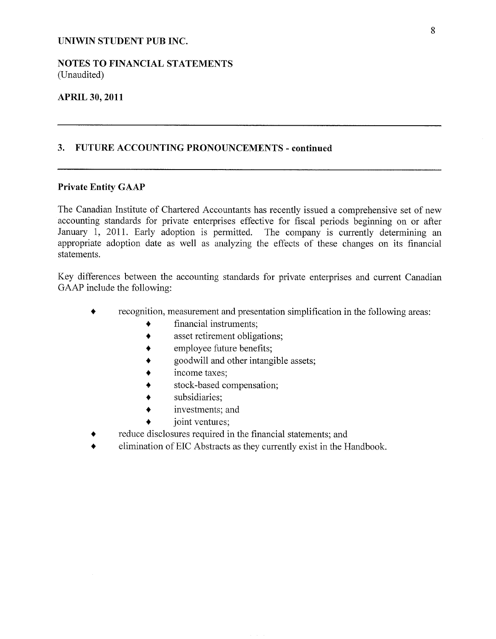NOTES TO FINANCIAL STATEMENTS (Unaudited)

### APRIL 30, 2011

### **3. FUTURE ACCOUNTING PRONOUNCEMENTS - continued**

### **Private Entity GAAP**

The Canadian Institute of Chartered Accountants has recently issued a comprehensive set of new accounting standards for private enterprises effective for fiscal periods beginning on or after January 1, 2011. Early adoption is permitted. The company is currently determining an appropriate adoption date as well as analyzing the effects of these changes on its financial statements.

Key differences between the accounting standards for private enterprises and current Canadian GAAP include the following:

- $\bullet$ recognition, measurement and presentation simplification in the following areas:
	- financial instruments;  $\blacklozenge$
	- asset retirement obligations;
	- employee future benefits;
	- ¯ goodwill and other intangible assets;
	- income taxes;
	- stock-based compensation;
	- subsidiaries:
	- investments; and
	- joint ventures;
- reduce disclosures required in the financial statements; and
- elimination of EIC Abstracts as they currently exist in the Handbook.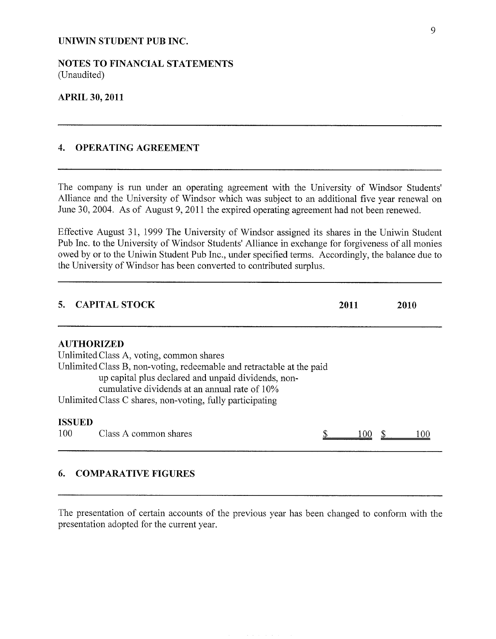NOTES TO FINANCIAL STATEMENTS (Unaudited)

#### APRIL 30, **2011**

#### 4. OPERATING AGREEMENT

The company is run under an operating agreement with the University of Windsor Students' Alliance and the University of Windsor which was subiect to an additional five year renewal on June 30, 2004. As of August 9, 2011 the expired operating agreement had not been renewed.

Effective August 31, 1999 The University of Windsor assigned its shares in the Uniwin Student Pub Inc. to the University of Windsor Students' Alliance in exchange for forgiveness of all monies owed by or to the Uniwin Student Pub Inc., under specified terms. Accordingly, the balance due to the University of Windsor has been converted to contributed surplus.

| 5.                   | <b>CAPITAL STOCK</b>                                                                                                                                                                                                                                                                   | 2011 | 2010 |
|----------------------|----------------------------------------------------------------------------------------------------------------------------------------------------------------------------------------------------------------------------------------------------------------------------------------|------|------|
| <b>AUTHORIZED</b>    | Unlimited Class A, voting, common shares<br>Unlimited Class B, non-voting, redeemable and retractable at the paid<br>up capital plus declared and unpaid dividends, non-<br>cumulative dividends at an annual rate of 10%<br>Unlimited Class C shares, non-voting, fully participating |      |      |
| <b>ISSUED</b><br>100 | Class A common shares                                                                                                                                                                                                                                                                  |      |      |

## 6. COMPARATIVE FIGURES

The presentation of certain accounts of the previous year has been changed to conform with the presentation adopted for the current year.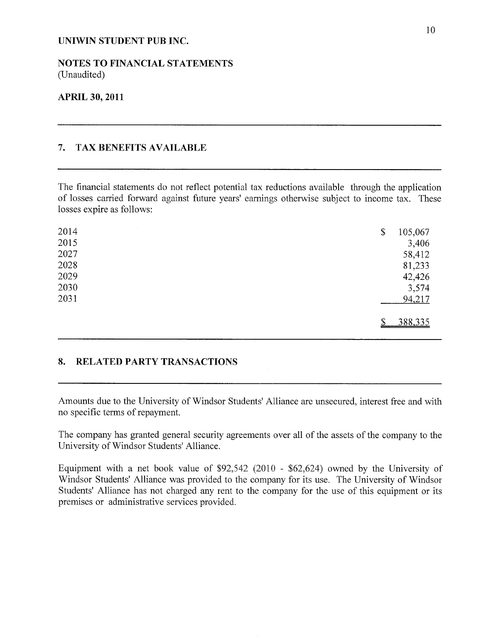NOTES TO FINANCIAL STATEMENTS (Unaudited)

### **APRIL 30, 2011**

## 7. TAX BENEFITS AVAILABLE

The financial statements do not reflect potential tax reductions available through the application of losses carried forward against future years' earnings otherwise subject to income tax. These losses expire as follows:

| 2014 | $\boldsymbol{\mathcal{S}}$ | 105,067 |
|------|----------------------------|---------|
| 2015 |                            | 3,406   |
| 2027 |                            | 58,412  |
| 2028 |                            | 81,233  |
| 2029 |                            | 42,426  |
| 2030 |                            | 3,574   |
| 2031 |                            | 94,217  |
|      |                            | 388,335 |

# **8. RELATED PARTY TRANSACTIONS**

Amounts due to the University of Windsor Students' Alliance are unsecured, interest free and with no specific terms of repayment.

The company has granted general security agreements over all of the assets of the company to the University of Windsor Students' Alliance.

Equipment with a net book value of \$92,542 (2010 - \$62,624) owned by the University of Windsor Students' Alliance was provided to the company for its use. The University of Windsor Students' Alliance has not charged any rent to the company for the use of this equipment or its premises or administrative services provided.